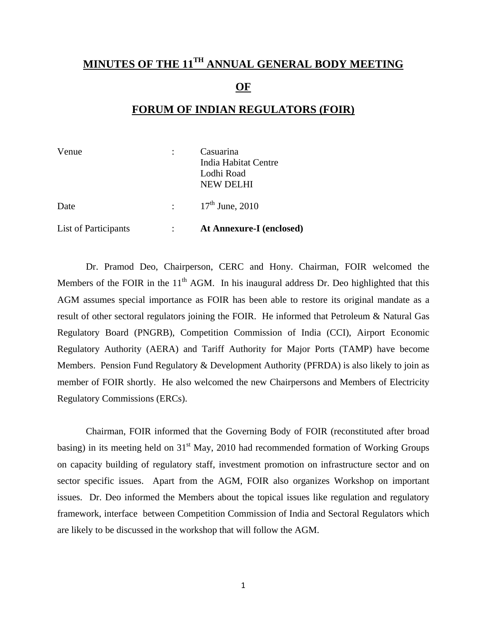## **MINUTES OF THE 11TH ANNUAL GENERAL BODY MEETING OF**

## **FORUM OF INDIAN REGULATORS (FOIR)**

| Venue                | Casuarina<br>India Habitat Centre<br>Lodhi Road<br><b>NEW DELHI</b> |
|----------------------|---------------------------------------------------------------------|
| Date                 | $\frac{17^{\text{th}}}{\text{June, }2010}$                          |
| List of Participants | <b>At Annexure-I (enclosed)</b>                                     |

 Dr. Pramod Deo, Chairperson, CERC and Hony. Chairman, FOIR welcomed the Members of the FOIR in the  $11<sup>th</sup>$  AGM. In his inaugural address Dr. Deo highlighted that this AGM assumes special importance as FOIR has been able to restore its original mandate as a result of other sectoral regulators joining the FOIR. He informed that Petroleum & Natural Gas Regulatory Board (PNGRB), Competition Commission of India (CCI), Airport Economic Regulatory Authority (AERA) and Tariff Authority for Major Ports (TAMP) have become Members. Pension Fund Regulatory & Development Authority (PFRDA) is also likely to join as member of FOIR shortly. He also welcomed the new Chairpersons and Members of Electricity Regulatory Commissions (ERCs).

Chairman, FOIR informed that the Governing Body of FOIR (reconstituted after broad basing) in its meeting held on  $31<sup>st</sup>$  May, 2010 had recommended formation of Working Groups on capacity building of regulatory staff, investment promotion on infrastructure sector and on sector specific issues. Apart from the AGM, FOIR also organizes Workshop on important issues. Dr. Deo informed the Members about the topical issues like regulation and regulatory framework, interface between Competition Commission of India and Sectoral Regulators which are likely to be discussed in the workshop that will follow the AGM.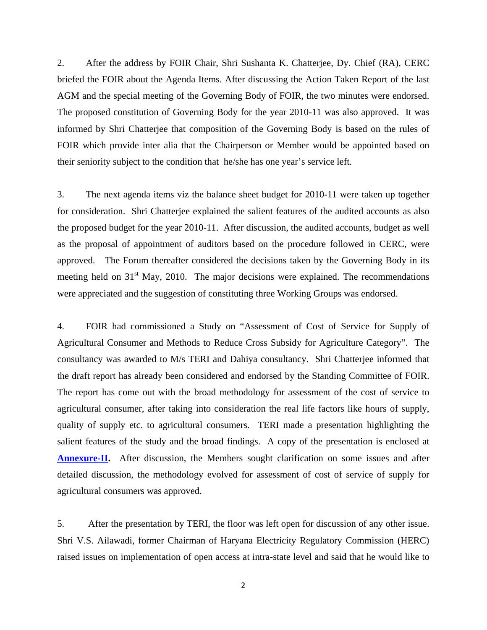2. After the address by FOIR Chair, Shri Sushanta K. Chatterjee, Dy. Chief (RA), CERC briefed the FOIR about the Agenda Items. After discussing the Action Taken Report of the last AGM and the special meeting of the Governing Body of FOIR, the two minutes were endorsed. The proposed constitution of Governing Body for the year 2010-11 was also approved. It was informed by Shri Chatterjee that composition of the Governing Body is based on the rules of FOIR which provide inter alia that the Chairperson or Member would be appointed based on their seniority subject to the condition that he/she has one year's service left.

3. The next agenda items viz the balance sheet budget for 2010-11 were taken up together for consideration. Shri Chatterjee explained the salient features of the audited accounts as also the proposed budget for the year 2010-11. After discussion, the audited accounts, budget as well as the proposal of appointment of auditors based on the procedure followed in CERC, were approved. The Forum thereafter considered the decisions taken by the Governing Body in its meeting held on  $31<sup>st</sup>$  May, 2010. The major decisions were explained. The recommendations were appreciated and the suggestion of constituting three Working Groups was endorsed.

4. FOIR had commissioned a Study on "Assessment of Cost of Service for Supply of Agricultural Consumer and Methods to Reduce Cross Subsidy for Agriculture Category". The consultancy was awarded to M/s TERI and Dahiya consultancy. Shri Chatterjee informed that the draft report has already been considered and endorsed by the Standing Committee of FOIR. The report has come out with the broad methodology for assessment of the cost of service to agricultural consumer, after taking into consideration the real life factors like hours of supply, quality of supply etc. to agricultural consumers. TERI made a presentation highlighting the salient features of the study and the broad findings. A copy of the presentation is enclosed at **[Annexure-II](http://www.foir-india.org/upload/annexure-ii-presentation-by-teri-on-cos.ppt).** After discussion, the Members sought clarification on some issues and after detailed discussion, the methodology evolved for assessment of cost of service of supply for agricultural consumers was approved.

5. After the presentation by TERI, the floor was left open for discussion of any other issue. Shri V.S. Ailawadi, former Chairman of Haryana Electricity Regulatory Commission (HERC) raised issues on implementation of open access at intra-state level and said that he would like to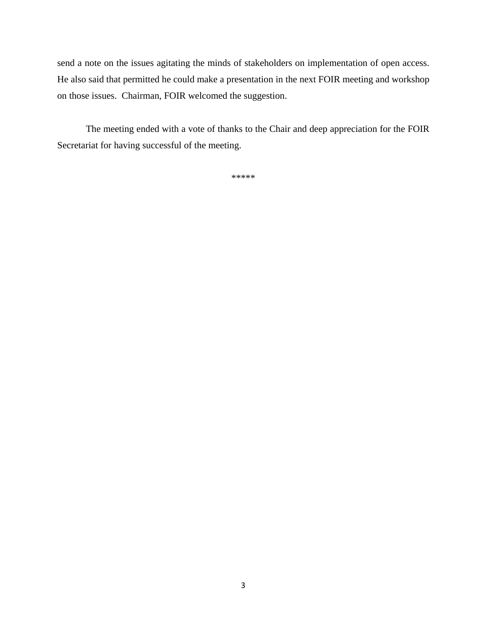send a note on the issues agitating the minds of stakeholders on implementation of open access. He also said that permitted he could make a presentation in the next FOIR meeting and workshop on those issues. Chairman, FOIR welcomed the suggestion.

 The meeting ended with a vote of thanks to the Chair and deep appreciation for the FOIR Secretariat for having successful of the meeting.

\*\*\*\*\*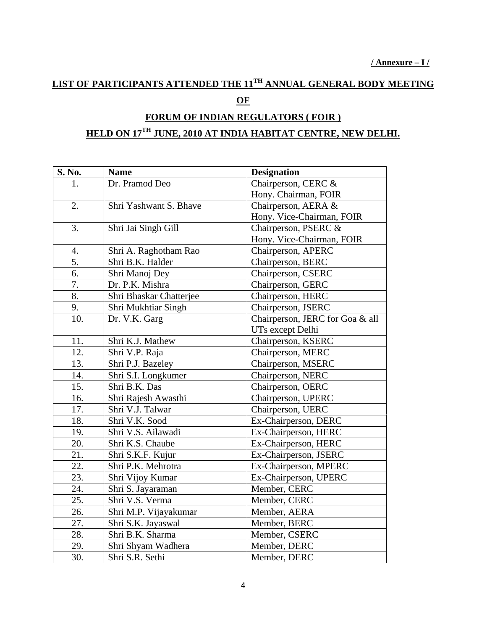## **LIST OF PARTICIPANTS ATTENDED THE 11TH ANNUAL GENERAL BODY MEETING OF**

## **FORUM OF INDIAN REGULATORS ( FOIR ) HELD ON 17TH JUNE, 2010 AT INDIA HABITAT CENTRE, NEW DELHI.**

| S. No. | <b>Name</b>             | <b>Designation</b>              |
|--------|-------------------------|---------------------------------|
| 1.     | Dr. Pramod Deo          | Chairperson, CERC &             |
|        |                         | Hony. Chairman, FOIR            |
| 2.     | Shri Yashwant S. Bhave  | Chairperson, AERA &             |
|        |                         | Hony. Vice-Chairman, FOIR       |
| 3.     | Shri Jai Singh Gill     | Chairperson, PSERC &            |
|        |                         | Hony. Vice-Chairman, FOIR       |
| 4.     | Shri A. Raghotham Rao   | Chairperson, APERC              |
| 5.     | Shri B.K. Halder        | Chairperson, BERC               |
| 6.     | Shri Manoj Dey          | Chairperson, CSERC              |
| 7.     | Dr. P.K. Mishra         | Chairperson, GERC               |
| 8.     | Shri Bhaskar Chatterjee | Chairperson, HERC               |
| 9.     | Shri Mukhtiar Singh     | Chairperson, JSERC              |
| 10.    | Dr. V.K. Garg           | Chairperson, JERC for Goa & all |
|        |                         | UTs except Delhi                |
| 11.    | Shri K.J. Mathew        | Chairperson, KSERC              |
| 12.    | Shri V.P. Raja          | Chairperson, MERC               |
| 13.    | Shri P.J. Bazeley       | Chairperson, MSERC              |
| 14.    | Shri S.I. Longkumer     | Chairperson, NERC               |
| 15.    | Shri B.K. Das           | Chairperson, OERC               |
| 16.    | Shri Rajesh Awasthi     | Chairperson, UPERC              |
| 17.    | Shri V.J. Talwar        | Chairperson, UERC               |
| 18.    | Shri V.K. Sood          | Ex-Chairperson, DERC            |
| 19.    | Shri V.S. Ailawadi      | Ex-Chairperson, HERC            |
| 20.    | Shri K.S. Chaube        | Ex-Chairperson, HERC            |
| 21.    | Shri S.K.F. Kujur       | Ex-Chairperson, JSERC           |
| 22.    | Shri P.K. Mehrotra      | Ex-Chairperson, MPERC           |
| 23.    | Shri Vijoy Kumar        | Ex-Chairperson, UPERC           |
| 24.    | Shri S. Jayaraman       | Member, CERC                    |
| 25.    | Shri V.S. Verma         | Member, CERC                    |
| 26.    | Shri M.P. Vijayakumar   | Member, AERA                    |
| 27.    | Shri S.K. Jayaswal      | Member, BERC                    |
| 28.    | Shri B.K. Sharma        | Member, CSERC                   |
| 29.    | Shri Shyam Wadhera      | Member, DERC                    |
| 30.    | Shri S.R. Sethi         | Member, DERC                    |